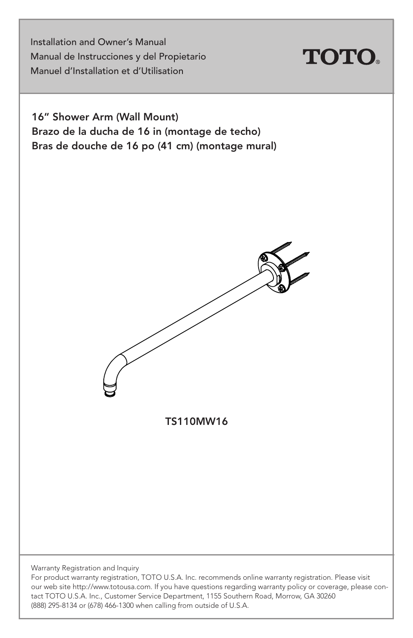Installation and Owner's Manual Manual de Instrucciones y del Propietario Manuel d'Installation et d'Utilisation



16" Shower Arm (Wall Mount) Brazo de la ducha de 16 in (montage de techo) Bras de douche de 16 po (41 cm) (montage mural)



TS110MW16

Warranty Registration and Inquiry

For product warranty registration, TOTO U.S.A. Inc. recommends online warranty registration. Please visit our web site http://www.totousa.com. If you have questions regarding warranty policy or coverage, please contact TOTO U.S.A. Inc., Customer Service Department, 1155 Southern Road, Morrow, GA 30260 (888) 295-8134 or (678) 466-1300 when calling from outside of U.S.A.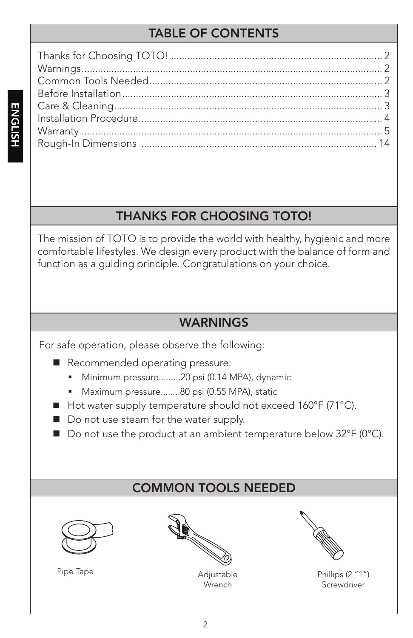# TABLE OF CONTENTS

# THANKS FOR CHOOSING TOTO!

The mission of TOTO is to provide the world with healthy, hygienic and more comfortable lifestyles. We design every product with the balance of form and function as a guiding principle. Congratulations on your choice.

### WARNINGS

For safe operation, please observe the following:

- Recommended operating pressure:
	- Minimum pressure.........20 psi (0.14 MPA), dynamic
	- Maximum pressure........80 psi (0.55 MPA), static
- Hot water supply temperature should not exceed 160°F (71°C).
- Do not use steam for the water supply.
- Do not use the product at an ambient temperature below 32°F (0°C).

### COMMON TOOLS NEEDED



Pipe Tape **Adjustable** 



**Wrench** 



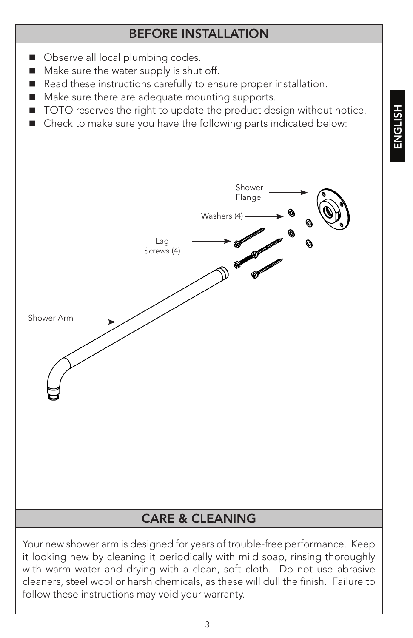### BEFORE INSTALLATION

- Observe all local plumbing codes.
- Make sure the water supply is shut off.
- Read these instructions carefully to ensure proper installation.
- Make sure there are adequate mounting supports.
- TOTO reserves the right to update the product design without notice.
- Check to make sure you have the following parts indicated below:



it looking new by cleaning it periodically with mild soap, rinsing thoroughly with warm water and drying with a clean, soft cloth. Do not use abrasive cleaners, steel wool or harsh chemicals, as these will dull the finish. Failure to follow these instructions may void your warranty.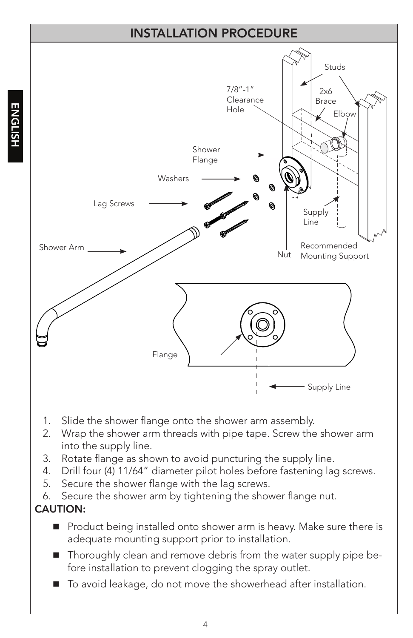### INSTALLATION PROCEDURE



- 1. Slide the shower flange onto the shower arm assembly.
- 2. Wrap the shower arm threads with pipe tape. Screw the shower arm into the supply line.
- 3. Rotate flange as shown to avoid puncturing the supply line.
- 4. Drill four (4) 11/64" diameter pilot holes before fastening lag screws.
- 5. Secure the shower flange with the lag screws.
- 6. Secure the shower arm by tightening the shower flange nut.

#### CAUTION:

- Product being installed onto shower arm is heavy. Make sure there is adequate mounting support prior to installation.
- Thoroughly clean and remove debris from the water supply pipe before installation to prevent clogging the spray outlet.
- To avoid leakage, do not move the showerhead after installation.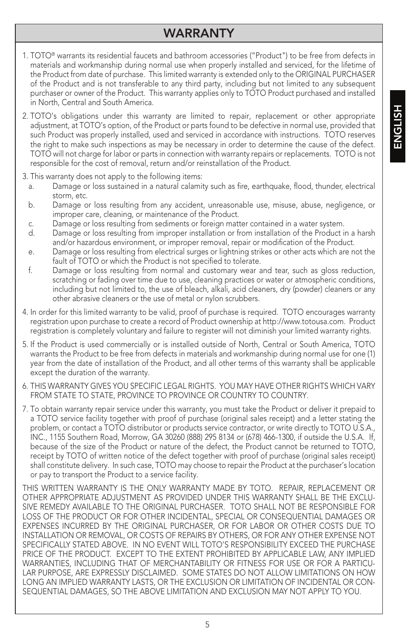### WARRANTY

- 1. TOTO® warrants its residential faucets and bathroom accessories ("Product") to be free from defects in materials and workmanship during normal use when properly installed and serviced, for the lifetime of the Product from date of purchase. This limited warranty is extended only to the ORIGINAL PURCHASER of the Product and is not transferable to any third party, including but not limited to any subsequent purchaser or owner of the Product. This warranty applies only to TOTO Product purchased and installed in North, Central and South America.
- 2. TOTO's obligations under this warranty are limited to repair, replacement or other appropriate adjustment, at TOTO's option, of the Product or parts found to be defective in normal use, provided that such Product was properly installed, used and serviced in accordance with instructions. TOTO reserves the right to make such inspections as may be necessary in order to determine the cause of the defect. TOTO will not charge for labor or parts in connection with warranty repairs or replacements. TOTO is not responsible for the cost of removal, return and/or reinstallation of the Product.
- 3. This warranty does not apply to the following items:
	- a. Damage or loss sustained in a natural calamity such as fire, earthquake, flood, thunder, electrical storm, etc.
	- b. Damage or loss resulting from any accident, unreasonable use, misuse, abuse, negligence, or improper care, cleaning, or maintenance of the Product.
	- c. Damage or loss resulting from sediments or foreign matter contained in a water system.
	- d. Damage or loss resulting from improper installation or from installation of the Product in a harsh and/or hazardous environment, or improper removal, repair or modification of the Product.
	- e. Damage or loss resulting from electrical surges or lightning strikes or other acts which are not the fault of TOTO or which the Product is not specified to tolerate.
	- f. Damage or loss resulting from normal and customary wear and tear, such as gloss reduction, scratching or fading over time due to use, cleaning practices or water or atmospheric conditions, including but not limited to, the use of bleach, alkali, acid cleaners, dry (powder) cleaners or any other abrasive cleaners or the use of metal or nylon scrubbers.
- 4. In order for this limited warranty to be valid, proof of purchase is required. TOTO encourages warranty registration upon purchase to create a record of Product ownership at http://www.totousa.com. Product registration is completely voluntary and failure to register will not diminish your limited warranty rights.
- 5. If the Product is used commercially or is installed outside of North, Central or South America, TOTO warrants the Product to be free from defects in materials and workmanship during normal use for one (1) year from the date of installation of the Product, and all other terms of this warranty shall be applicable except the duration of the warranty.
- 6. THIS WARRANTY GIVES YOU SPECIFIC LEGAL RIGHTS. YOU MAY HAVE OTHER RIGHTS WHICH VARY FROM STATE TO STATE, PROVINCE TO PROVINCE OR COUNTRY TO COUNTRY.
- 7. To obtain warranty repair service under this warranty, you must take the Product or deliver it prepaid to a TOTO service facility together with proof of purchase (original sales receipt) and a letter stating the problem, or contact a TOTO distributor or products service contractor, or write directly to TOTO U.S.A., INC., 1155 Southern Road, Morrow, GA 30260 (888) 295 8134 or (678) 466-1300, if outside the U.S.A. If, because of the size of the Product or nature of the defect, the Product cannot be returned to TOTO, receipt by TOTO of written notice of the defect together with proof of purchase (original sales receipt) shall constitute delivery. In such case, TOTO may choose to repair the Product at the purchaser's location or pay to transport the Product to a service facility.

THIS WRITTEN WARRANTY IS THE ONLY WARRANTY MADE BY TOTO. REPAIR, REPLACEMENT OR OTHER APPROPRIATE ADJUSTMENT AS PROVIDED UNDER THIS WARRANTY SHALL BE THE EXCLU-SIVE REMEDY AVAILABLE TO THE ORIGINAL PURCHASER. TOTO SHALL NOT BE RESPONSIBLE FOR LOSS OF THE PRODUCT OR FOR OTHER INCIDENTAL, SPECIAL OR CONSEQUENTIAL DAMAGES OR EXPENSES INCURRED BY THE ORIGINAL PURCHASER, OR FOR LABOR OR OTHER COSTS DUE TO INSTALLATION OR REMOVAL, OR COSTS OF REPAIRS BY OTHERS, OR FOR ANY OTHER EXPENSE NOT SPECIFICALLY STATED ABOVE. IN NO EVENT WILL TOTO'S RESPONSIBILITY EXCEED THE PURCHASE PRICE OF THE PRODUCT. EXCEPT TO THE EXTENT PROHIBITED BY APPLICABLE LAW, ANY IMPLIED WARRANTIES, INCLUDING THAT OF MERCHANTABILITY OR FITNESS FOR USE OR FOR A PARTICU-LAR PURPOSE, ARE EXPRESSLY DISCLAIMED. SOME STATES DO NOT ALLOW LIMITATIONS ON HOW LONG AN IMPLIED WARRANTY LASTS, OR THE EXCLUSION OR LIMITATION OF INCIDENTAL OR CON-SEQUENTIAL DAMAGES, SO THE ABOVE LIMITATION AND EXCLUSION MAY NOT APPLY TO YOU.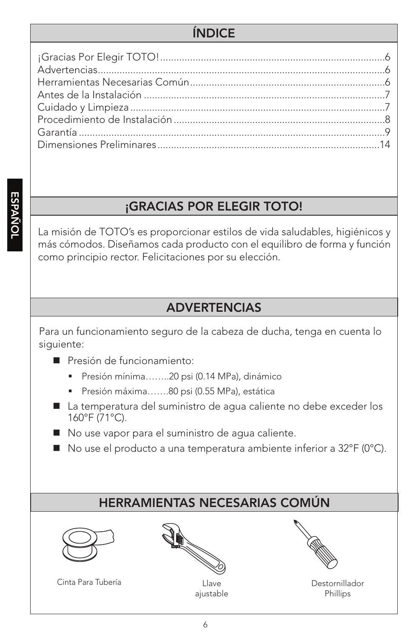### ÍNDICE

### ¡GRACIAS POR ELEGIR TOTO!

La misión de TOTO's es proporcionar estilos de vida saludables, higiénicos y más cómodos. Diseñamos cada producto con el equilibro de forma y función como principio rector. Felicitaciones por su elección.

#### ADVERTENCIAS

Para un funcionamiento seguro de la cabeza de ducha, tenga en cuenta lo siguiente:

- Presión de funcionamiento:
	- Presión mínima……..20 psi (0.14 MPa), dinámico
	- Presión máxima…….80 psi (0.55 MPa), estática
- La temperatura del suministro de aqua caliente no debe exceder los 160°F (71°C).
- No use vapor para el suministro de agua caliente.
- No use el producto a una temperatura ambiente inferior a 32°F (0°C).

# HERRAMIENTAS NECESARIAS COMÚN



Cinta Para Tubería **Latina Accidente Cinta Para Tubería** 







Destornillador Phillips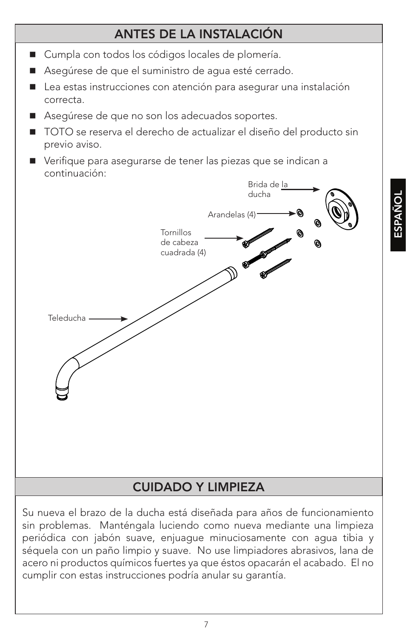# ANTES DE LA INSTALACIÓN

- Cumpla con todos los códigos locales de plomería.
- Asegúrese de que el suministro de agua esté cerrado.
- Lea estas instrucciones con atención para asegurar una instalación correcta.
- Asegúrese de que no son los adecuados soportes.
- TOTO se reserva el derecho de actualizar el diseño del producto sin previo aviso.
- Verifique para asegurarse de tener las piezas que se indican a continuación:



### CUIDADO Y LIMPIEZA

Su nueva el brazo de la ducha está diseñada para años de funcionamiento sin problemas. Manténgala luciendo como nueva mediante una limpieza periódica con jabón suave, enjuague minuciosamente con agua tibia y séquela con un paño limpio y suave. No use limpiadores abrasivos, lana de acero ni productos químicos fuertes ya que éstos opacarán el acabado. El no cumplir con estas instrucciones podría anular su garantía.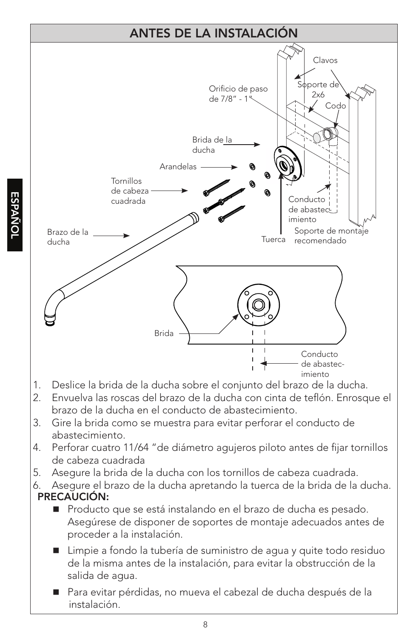

- 2. Envuelva las roscas del brazo de la ducha con cinta de teflón. Enrosque el brazo de la ducha en el conducto de abastecimiento.
- 3. Gire la brida como se muestra para evitar perforar el conducto de abastecimiento.
- 4. Perforar cuatro 11/64 "de diámetro agujeros piloto antes de fijar tornillos de cabeza cuadrada
- 5. Asegure la brida de la ducha con los tornillos de cabeza cuadrada.
- PRECAUCIÓN: 6. Asegure el brazo de la ducha apretando la tuerca de la brida de la ducha.
	- Producto que se está instalando en el brazo de ducha es pesado. Asegúrese de disponer de soportes de montaje adecuados antes de proceder a la instalación.
	- Limpie a fondo la tubería de suministro de agua y quite todo residuo de la misma antes de la instalación, para evitar la obstrucción de la salida de agua.
	- Para evitar pérdidas, no mueva el cabezal de ducha después de la instalación.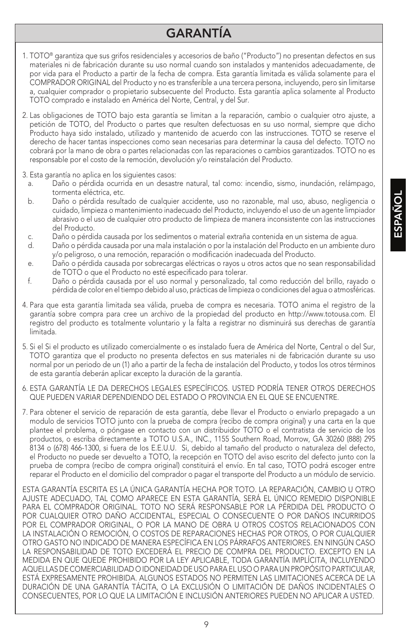### GARANTÍA

- 1. TOTO® garantiza que sus grifos residenciales y accesorios de baño ("Producto") no presentan defectos en sus materiales ni de fabricación durante su uso normal cuando son instalados y mantenidos adecuadamente, de por vida para el Producto a partir de la fecha de compra. Esta garantía limitada es válida solamente para el COMPRADOR ORIGINAL del Producto y no es transferible a una tercera persona, incluyendo, pero sin limitarse a, cualquier comprador o propietario subsecuente del Producto. Esta garantía aplica solamente al Producto TOTO comprado e instalado en América del Norte, Central, y del Sur.
- 2. Las obligaciones de TOTO bajo esta garantía se limitan a la reparación, cambio o cualquier otro ajuste, a petición de TOTO, del Producto o partes que resulten defectuosas en su uso normal, siempre que dicho Producto haya sido instalado, utilizado y mantenido de acuerdo con las instrucciones. TOTO se reserve el derecho de hacer tantas inspecciones como sean necesarias para determinar la causa del defecto. TOTO no cobrará por la mano de obra o partes relacionadas con las reparaciones o cambios garantizados. TOTO no es responsable por el costo de la remoción, devolución y/o reinstalación del Producto.
- 3. Esta garantía no aplica en los siguientes casos:
	- a. Daño o pérdida ocurrida en un desastre natural, tal como: incendio, sismo, inundación, relámpago, tormenta eléctrica, etc.
	- b. Daño o pérdida resultado de cualquier accidente, uso no razonable, mal uso, abuso, negligencia o cuidado, limpieza o mantenimiento inadecuado del Producto, incluyendo el uso de un agente limpiador abrasivo o el uso de cualquier otro producto de limpieza de manera inconsistente con las instrucciones del Producto.
	- c. Daño o pérdida causada por los sedimentos o material extraña contenida en un sistema de agua.
	- d. Daño o pérdida causada por una mala instalación o por la instalación del Producto en un ambiente duro y/o peligroso, o una remoción, reparación o modificación inadecuada del Producto.
	- e. Daño o pérdida causada por sobrecargas eléctricas o rayos u otros actos que no sean responsabilidad de TOTO o que el Producto no esté especificado para tolerar.
	- f. Daño o pérdida causada por el uso normal y personalizado, tal como reducción del brillo, rayado o pérdida de color en el tiempo debido al uso, prácticas de limpieza o condiciones del agua o atmosféricas.
- 4. Para que esta garantía limitada sea válida, prueba de compra es necesaria. TOTO anima el registro de la garantía sobre compra para cree un archivo de la propiedad del producto en http://www.totousa.com. El registro del producto es totalmente voluntario y la falta a registrar no disminuirá sus derechas de garantía limitada.
- 5. Si el Si el producto es utilizado comercialmente o es instalado fuera de América del Norte, Central o del Sur, TOTO garantiza que el producto no presenta defectos en sus materiales ni de fabricación durante su uso normal por un periodo de un (1) año a partir de la fecha de instalación del Producto, y todos los otros términos de esta garantía deberán aplicar excepto la duración de la garantía.
- 6. ESTA GARANTÍA LE DA DERECHOS LEGALES ESPECÍFICOS. USTED PODRÍA TENER OTROS DERECHOS QUE PUEDEN VARIAR DEPENDIENDO DEL ESTADO O PROVINCIA EN EL QUE SE ENCUENTRE.
- 7. Para obtener el servicio de reparación de esta garantía, debe llevar el Producto o enviarlo prepagado a un modulo de servicios TOTO junto con la prueba de compra (recibo de compra original) y una carta en la que plantee el problema, o póngase en contacto con un distribuidor TOTO o el contratista de servicio de los productos, o escriba directamente a TOTO U.S.A., INC., 1155 Southern Road, Morrow, GA 30260 (888) 295 8134 o (678) 466-1300, si fuera de los E.E.U.U. Si, debido al tamaño del producto o naturaleza del defecto, el Producto no puede ser devuelto a TOTO, la recepción en TOTO del aviso escrito del defecto junto con la prueba de compra (recibo de compra original) constituirá el envío. En tal caso, TOTO podrá escoger entre reparar el Producto en el domicilio del comprador o pagar el transporte del Producto a un módulo de servicio.

ESTA GARANTÍA ESCRITA ES LA ÚNICA GARANTÍA HECHA POR TOTO. LA REPARACIÓN, CAMBIO U OTRO AJUSTE ADECUADO, TAL COMO APARECE EN ESTA GARANTÍA, SERÁ EL ÚNICO REMEDIO DISPONIBLE PARA EL COMPRADOR ORIGINAL. TOTO NO SERÁ RESPONSABLE POR LA PÉRDIDA DEL PRODUCTO O POR CUALQUIER OTRO DAÑO ACCIDENTAL, ESPECIAL O CONSECUENTE O POR DAÑOS INCURRIDOS POR EL COMPRADOR ORIGINAL, O POR LA MANO DE OBRA U OTROS COSTOS RELACIONADOS CON LA INSTALACIÓN O REMOCIÓN, O COSTOS DE REPARACIONES HECHAS POR OTROS, O POR CUALQUIER OTRO GASTO NO INDICADO DE MANERA ESPECÍFICA EN LOS PÁRRAFOS ANTERIORES. EN NINGÚN CASO LA RESPONSABILIDAD DE TOTO EXCEDERÁ EL PRECIO DE COMPRA DEL PRODUCTO. EXCEPTO EN LA MEDIDA EN QUE QUEDE PROHIBIDO POR LA LEY APLICABLE, TODA GARANTÍA IMPLÍCITA, INCLUYENDO AQUELLAS DE COMERCIABILIDAD O IDONEIDAD DE USO PARA EL USO O PARA UN PROPÓSITO PARTICULAR, ESTÁ EXPRESAMENTE PROHIBIDA. ALGUNOS ESTADOS NO PERMITEN LAS LIMITACIONES ACERCA DE LA DURACIÓN DE UNA GARANTÍA TÁCITA, O LA EXCLUSIÓN O LIMITACIÓN DE DAÑOS INCIDENTALES O CONSECUENTES, POR LO QUE LA LIMITACIÓN E INCLUSIÓN ANTERIORES PUEDEN NO APLICAR A USTED.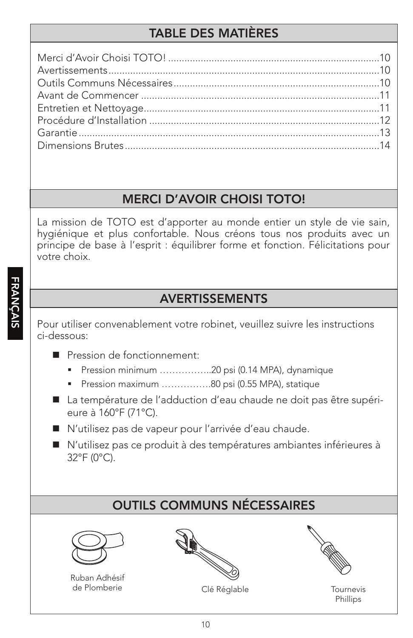# TABLE DES MATIÈRES

### MERCI D'AVOIR CHOISI TOTO!

La mission de TOTO est d'apporter au monde entier un style de vie sain, hygiénique et plus confortable. Nous créons tous nos produits avec un principe de base à l'esprit : équilibrer forme et fonction. Félicitations pour votre choix.

### AVERTISSEMENTS

Pour utiliser convenablement votre robinet, veuillez suivre les instructions ci-dessous:

- Pression de fonctionnement:
	- Pression minimum ………………20 psi (0.14 MPA), dynamique
	- Pression maximum ................80 psi (0.55 MPA), statique
- La température de l'adduction d'eau chaude ne doit pas être supérieure à 160°F (71°C).
- N'utilisez pas de vapeur pour l'arrivée d'eau chaude.
- N'utilisez pas ce produit à des températures ambiantes inférieures à 32°F (0°C).

# OUTILS COMMUNS NÉCESSAIRES



Ruban Adhésif de Plomberie



Clé Réglable Tournevis



Phillips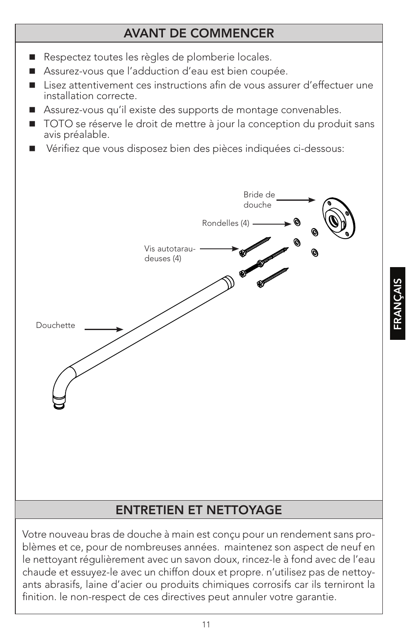### AVANT DE COMMENCER

FRANÇAIS

- Respectez toutes les règles de plomberie locales.
- Assurez-vous que l'adduction d'eau est bien coupée.
- Lisez attentivement ces instructions afin de vous assurer d'effectuer une installation correcte.
- Assurez-vous qu'il existe des supports de montage convenables.
- TOTO se réserve le droit de mettre à jour la conception du produit sans avis préalable.
- Vérifiez que vous disposez bien des pièces indiquées ci-dessous:



Votre nouveau bras de douche à main est conçu pour un rendement sans problèmes et ce, pour de nombreuses années. maintenez son aspect de neuf en le nettoyant régulièrement avec un savon doux, rincez-le à fond avec de l'eau chaude et essuyez-le avec un chiffon doux et propre. n'utilisez pas de nettoyants abrasifs, laine d'acier ou produits chimiques corrosifs car ils terniront la finition. le non-respect de ces directives peut annuler votre garantie.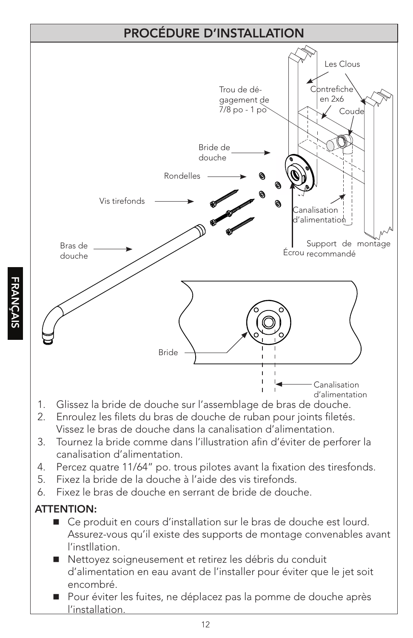

- 2. Enroulez les filets du bras de douche de ruban pour joints filetés. Vissez le bras de douche dans la canalisation d'alimentation.
- 3. Tournez la bride comme dans l'illustration afin d'éviter de perforer la canalisation d'alimentation.
- 4. Percez quatre 11/64" po. trous pilotes avant la fixation des tiresfonds.
- 5. Fixez la bride de la douche à l'aide des vis tirefonds.
- 6. Fixez le bras de douche en serrant de bride de douche.

### ATTENTION:

- Ce produit en cours d'installation sur le bras de douche est lourd. Assurez-vous qu'il existe des supports de montage convenables avant l'instllation.
- Nettoyez soigneusement et retirez les débris du conduit d'alimentation en eau avant de l'installer pour éviter que le jet soit encombré.
- Pour éviter les fuites, ne déplacez pas la pomme de douche après l'installation.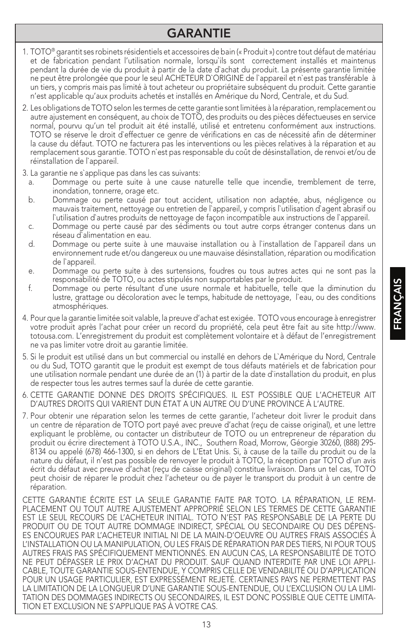#### GARANTIE

- 1. TOTO® garantit ses robinets résidentiels et accessoires de bain (« Produit ») contre tout défaut de matériau et de fabrication pendant l'utilisation normale, lorsqu`ils sont correctement installés et maintenus pendant la durée de vie du produit à partir de la date d`achat du produit. La présente garantie limitée ne peut être prolongée que pour le seul ACHETEUR D`ORIGINE de l`appareil et n`est pas transférable à un tiers, y compris mais pas limité à tout acheteur ou propriétaire subséquent du produit. Cette garantie n'est applicable qu'aux produits achetés et installés en Amérique du Nord, Centrale, et du Sud.
- 2. Les obligations de TOTO selon les termes de cette garantie sont limitées à la réparation, remplacement ou autre ajustement en conséquent, au choix de TOTO, des produits ou des pièces défectueuses en service normal, pourvu qu'un tel produit ait été installé, utilisé et entretenu conformément aux instructions. TOTO se réserve le droit d`effectuer ce genre de vérifications en cas de nécessité afin de déterminer la cause du défaut. TOTO ne facturera pas les interventions ou les pièces relatives à la réparation et au remplacement sous garantie. TOTO n`est pas responsable du coût de désinstallation, de renvoi et/ou de réinstallation de l`appareil.
- 3. La garantie ne s`applique pas dans les cas suivants:
	- a. Dommage ou perte suite à une cause naturelle telle que incendie, tremblement de terre, inondation, tonnerre, orage etc.
	- b. Dommage ou perte causé par tout accident, utilisation non adaptée, abus, négligence ou mauvais traitement, nettoyage ou entretien de l`appareil, y compris l`utilisation d`agent abrasif ou l`utilisation d`autres produits de nettoyage de façon incompatible aux instructions de l`appareil.
	- c. Dommage ou perte causé par des sédiments ou tout autre corps étranger contenus dans un réseau d`alimentation en eau.
	- d. Dommage ou perte suite à une mauvaise installation ou à l`installation de l`appareil dans un environnement rude et/ou dangereux ou une mauvaise désinstallation, réparation ou modification de l`appareil.
	- e. Dommage ou perte suite à des surtensions, foudres ou tous autres actes qui ne sont pas la responsabilité de TOTO, ou actes stipulés non supportables par le produit.
	- f. Dommage ou perte résultant d`une usure normale et habituelle, telle que la diminution du lustre, grattage ou décoloration avec le temps, habitude de nettoyage, l'eau, ou des conditions atmosphériques.
- 4. Pour que la garantie limitée soit valable, la preuve d'achat est exigée. TOTO vous encourage à enregistrer votre produit après l'achat pour créer un record du propriété, cela peut être fait au site http://www. totousa.com. L'enregistrement du produit est complètement volontaire et à défaut de l'enregistrement ne va pas limiter votre droit au garantie limitée.
- 5. Si le produit est utilisé dans un but commercial ou installé en dehors de L`Amérique du Nord, Centrale ou du Sud, TOTO garantit que le produit est exempt de tous défauts matériels et de fabrication pour une utilisation normale pendant une durée de an (1) à partir de la date d`installation du produit, en plus de respecter tous les autres termes sauf la durée de cette garantie.
- 6. CETTE GARANTIE DONNE DES DROITS SPÉCIFIQUES. IL EST POSSIBLE QUE L'ACHETEUR AIT D'AUTRES DROITS QUI VARIENT DUN ÉTAT A UN AUTRE OU D'UNE PROVINCE À L'AUTRE.
- 7. Pour obtenir une réparation selon les termes de cette garantie, l'acheteur doit livrer le produit dans un centre de réparation de TOTO port payé avec preuve d'achat (reçu de caisse original), et une lettre expliquant le problème, ou contacter un distributeur de TOTO ou un entrepreneur de réparation du produit ou écrire directement à TOTO U.S.A., INC., Southern Road, Morrow, Géorgie 30260, (888) 295- 8134 ou appelé (678) 466-1300, si en dehors de L'Etat Unis. Si, à cause de la taille du produit ou de la nature du défaut, il n'est pas possible de renvoyer le produit à TOTO, la réception par TOTO d'un avis écrit du défaut avec preuve d'achat (reçu de caisse original) constitue livraison. Dans un tel cas, TOTO peut choisir de réparer le produit chez l'acheteur ou de payer le transport du produit à un centre de réparation.

CETTE GARANTIE ÉCRITE EST LA SEULE GARANTIE FAITE PAR TOTO. LA RÉPARATION, LE REM-PLACEMENT OU TOUT AUTRE AJUSTEMENT APPROPRIÉ SELON LES TERMES DE CETTE GARANTIE EST LE SEUL RECOURS DE L'ACHETEUR INITIAL. TOTO N'EST PAS RESPONSABLE DE LA PERTE DU PRODUIT OU DE TOUT AUTRE DOMMAGE INDIRECT, SPÉCIAL OU SECONDAIRE OU DES DÉPENS-ES ENCOURUES PAR L'ACHETEUR INITIAL NI DE LA MAIN-D'OEUVRE OU AUTRES FRAIS ASSOCIÉS À L'INSTALLATION OU LA MANIPULATION, OU LES FRAIS DE RÉPARATION PAR DES TIERS, NI POUR TOUS AUTRES FRAIS PAS SPÉCIFIQUEMENT MENTIONNÉS. EN AUCUN CAS, LA RESPONSABILITÉ DE TOTO NE PEUT DÉPASSER LE PRIX D'ACHAT DU PRODUIT. SAUF QUAND INTERDITE PAR UNE LOI APPLI-CABLE, TOUTE GARANTIE SOUS-ENTENDUE, Y COMPRIS CELLE DE VENDABILITÉ OU D'APPLICATION POUR UN USAGE PARTICULIER, EST EXPRESSÉMENT REJETÉ. CERTAINES PAYS NE PERMETTENT PAS LA LIMITATION DE LA LONGUEUR D'UNE GARANTIE SOUS-ENTENDUE, OU L'EXCLUSION OU LA LIMI-TATION DES DOMMAGES INDIRECTS OU SECONDAIRES, IL EST DONC POSSIBLE QUE CETTE LIMITA-TION ET EXCLUSION NE S'APPLIQUE PAS À VOTRE CAS.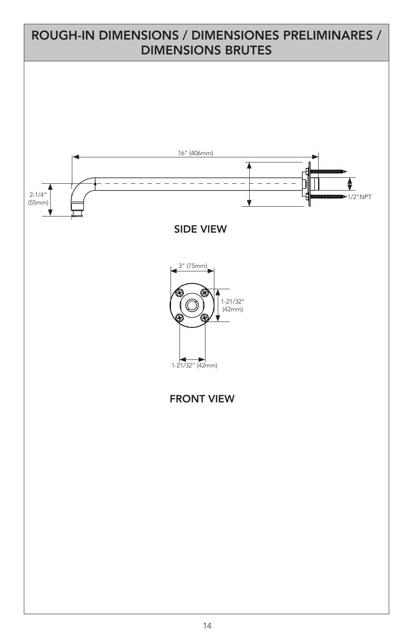